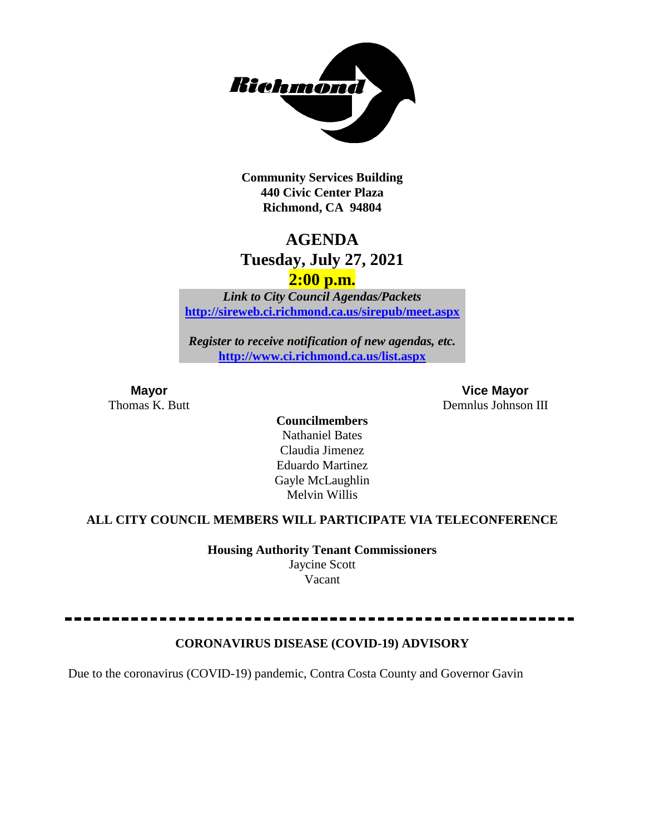

**Community Services Building 440 Civic Center Plaza Richmond, CA 94804**

## **AGENDA**

## **Tuesday, July 27, 2021**

### **2:00 p.m.**

*Link to City Council Agendas/Packets* **<http://sireweb.ci.richmond.ca.us/sirepub/meet.aspx>**

*Register to receive notification of new agendas, etc.* **<http://www.ci.richmond.ca.us/list.aspx>**

**Mayor Vice Mayor** Thomas K. Butt Demnlus Johnson III

> **Councilmembers** Nathaniel Bates Claudia Jimenez Eduardo Martinez Gayle McLaughlin Melvin Willis

#### **ALL CITY COUNCIL MEMBERS WILL PARTICIPATE VIA TELECONFERENCE**

**Housing Authority Tenant Commissioners** Jaycine Scott Vacant

#### **CORONAVIRUS DISEASE (COVID-19) ADVISORY**

Due to the coronavirus (COVID-19) pandemic, Contra Costa County and Governor Gavin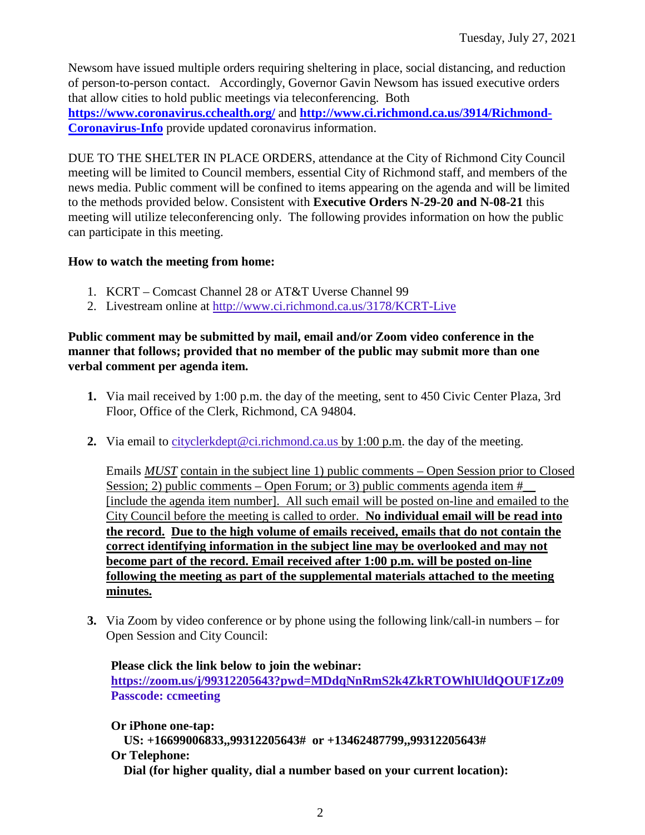Newsom have issued multiple orders requiring sheltering in place, social distancing, and reduction of person-to-person contact. Accordingly, Governor Gavin Newsom has issued executive orders that allow cities to hold public meetings via teleconferencing. Both **<https://www.coronavirus.cchealth.org/>** and **[http://www.ci.richmond.ca.us/3914/Richmond-](http://www.ci.richmond.ca.us/3914/Richmond-Coronavirus-Info)[Coronavirus-Info](http://www.ci.richmond.ca.us/3914/Richmond-Coronavirus-Info)** provide updated coronavirus information.

DUE TO THE SHELTER IN PLACE ORDERS, attendance at the City of Richmond City Council meeting will be limited to Council members, essential City of Richmond staff, and members of the news media. Public comment will be confined to items appearing on the agenda and will be limited to the methods provided below. Consistent with **Executive Orders N-29-20 and N-08-21** this meeting will utilize teleconferencing only. The following provides information on how the public can participate in this meeting.

#### **How to watch the meeting from home:**

- 1. KCRT Comcast Channel 28 or AT&T Uverse Channel 99
- 2. Livestream online at<http://www.ci.richmond.ca.us/3178/KCRT-Live>

#### **Public comment may be submitted by mail, email and/or Zoom video conference in the manner that follows; provided that no member of the public may submit more than one verbal comment per agenda item.**

- **1.** Via mail received by 1:00 p.m. the day of the meeting, sent to 450 Civic Center Plaza, 3rd Floor, Office of the Clerk, Richmond, CA 94804.
- **2.** Via email to [cityclerkdept@ci.richmond.ca.us](mailto:cityclerkdept@ci.richmond.ca.us) by 1:00 p.m. the day of the meeting.

Emails *MUST* contain in the subject line 1) public comments – Open Session prior to Closed Session; 2) public comments – Open Forum; or 3) public comments agenda item  $#$ [include the agenda item number]. All such email will be posted on-line and emailed to the City Council before the meeting is called to order. **No individual email will be read into the record. Due to the high volume of emails received, emails that do not contain the correct identifying information in the subject line may be overlooked and may not become part of the record. Email received after 1:00 p.m. will be posted on-line following the meeting as part of the supplemental materials attached to the meeting minutes.**

**3.** Via Zoom by video conference or by phone using the following link/call-in numbers – for Open Session and City Council:

**Please click the link below to join the webinar: <https://zoom.us/j/99312205643?pwd=MDdqNnRmS2k4ZkRTOWhlUldQOUF1Zz09> Passcode: ccmeeting**

**Or iPhone one-tap: US: +16699006833,,99312205643# or +13462487799,,99312205643# Or Telephone: Dial (for higher quality, dial a number based on your current location):**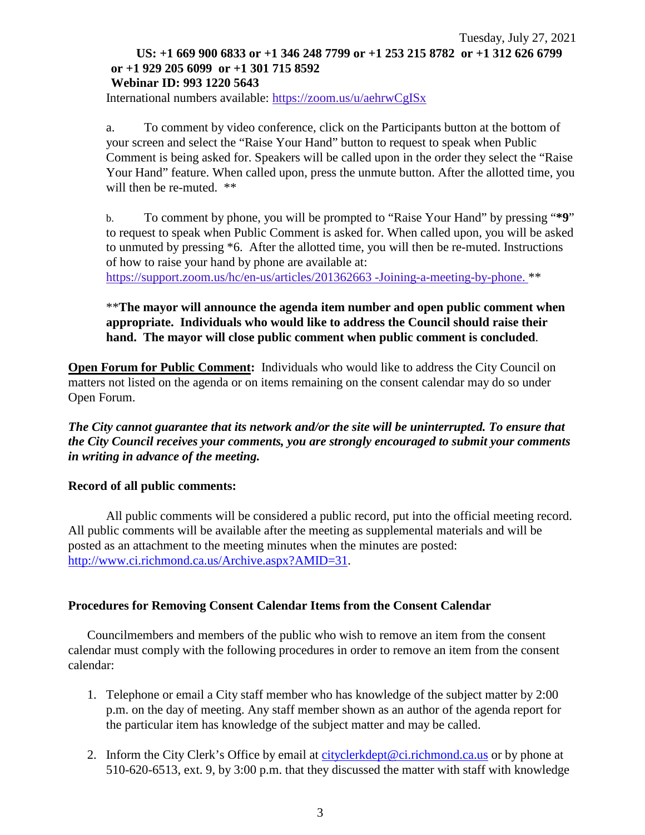#### Tuesday, July 27, 2021 **US: +1 669 900 6833 or +1 346 248 7799 or +1 253 215 8782 or +1 312 626 6799 or +1 929 205 6099 or +1 301 715 8592 Webinar ID: 993 1220 5643**

International numbers available: <https://zoom.us/u/aehrwCgISx>

a. To comment by video conference, click on the Participants button at the bottom of your screen and select the "Raise Your Hand" button to request to speak when Public Comment is being asked for. Speakers will be called upon in the order they select the "Raise Your Hand" feature. When called upon, press the unmute button. After the allotted time, you will then be re-muted.  $**$ 

b. To comment by phone, you will be prompted to "Raise Your Hand" by pressing "**\*9**" to request to speak when Public Comment is asked for. When called upon, you will be asked to unmuted by pressing \*6. After the allotted time, you will then be re-muted. Instructions of how to raise your hand by phone are available at:

[https://support.zoom.us/hc/en-us/articles/201362663 -Joining-a-meeting-by-phone.](https://support.zoom.us/hc/en-us/articles/201362663) \*\*

#### \*\***The mayor will announce the agenda item number and open public comment when appropriate. Individuals who would like to address the Council should raise their hand. The mayor will close public comment when public comment is concluded**.

**Open Forum for Public Comment:** Individuals who would like to address the City Council on matters not listed on the agenda or on items remaining on the consent calendar may do so under Open Forum.

*The City cannot guarantee that its network and/or the site will be uninterrupted. To ensure that the City Council receives your comments, you are strongly encouraged to submit your comments in writing in advance of the meeting.* 

#### **Record of all public comments:**

All public comments will be considered a public record, put into the official meeting record. All public comments will be available after the meeting as supplemental materials and will be posted as an attachment to the meeting minutes when the minutes are posted: [http://www.ci.richmond.ca.us/Archive.aspx?AMID=31.](http://www.ci.richmond.ca.us/Archive.aspx?AMID=31)

#### **Procedures for Removing Consent Calendar Items from the Consent Calendar**

Councilmembers and members of the public who wish to remove an item from the consent calendar must comply with the following procedures in order to remove an item from the consent calendar:

- 1. Telephone or email a City staff member who has knowledge of the subject matter by 2:00 p.m. on the day of meeting. Any staff member shown as an author of the agenda report for the particular item has knowledge of the subject matter and may be called.
- 2. Inform the City Clerk's Office by email at [cityclerkdept@ci.richmond.ca.us](mailto:cityclerkdept@ci.richmond.ca.us) or by phone at 510-620-6513, ext. 9, by 3:00 p.m. that they discussed the matter with staff with knowledge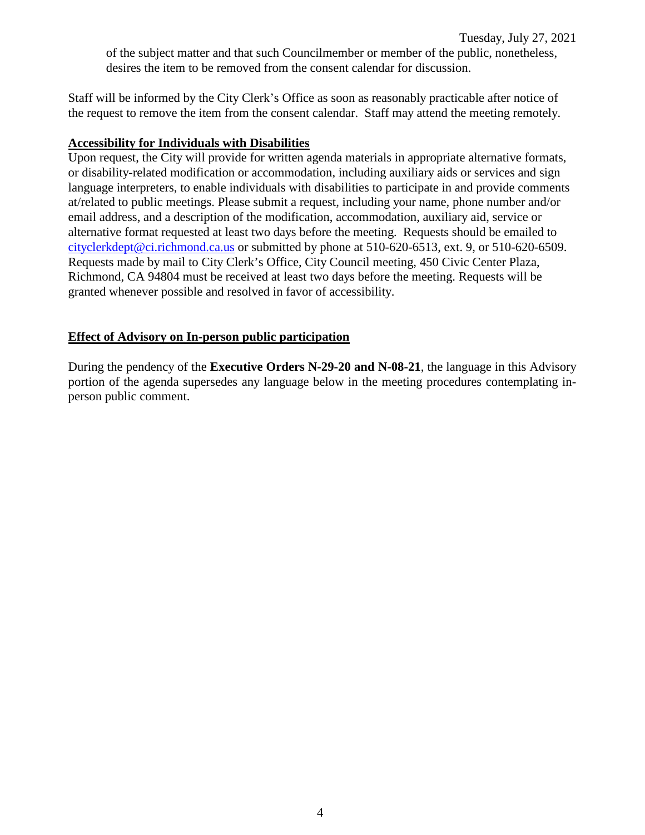Staff will be informed by the City Clerk's Office as soon as reasonably practicable after notice of the request to remove the item from the consent calendar. Staff may attend the meeting remotely.

#### **Accessibility for Individuals with Disabilities**

Upon request, the City will provide for written agenda materials in appropriate alternative formats, or disability-related modification or accommodation, including auxiliary aids or services and sign language interpreters, to enable individuals with disabilities to participate in and provide comments at/related to public meetings. Please submit a request, including your name, phone number and/or email address, and a description of the modification, accommodation, auxiliary aid, service or alternative format requested at least two days before the meeting. Requests should be emailed to [cityclerkdept@ci.richmond.ca.us](mailto:cityclerkdept@ci.richmond.ca.us) or submitted by phone at 510-620-6513, ext. 9, or 510-620-6509. Requests made by mail to City Clerk's Office, City Council meeting, 450 Civic Center Plaza, Richmond, CA 94804 must be received at least two days before the meeting. Requests will be granted whenever possible and resolved in favor of accessibility.

#### **Effect of Advisory on In-person public participation**

During the pendency of the **Executive Orders N-29-20 and N-08-21**, the language in this Advisory portion of the agenda supersedes any language below in the meeting procedures contemplating inperson public comment.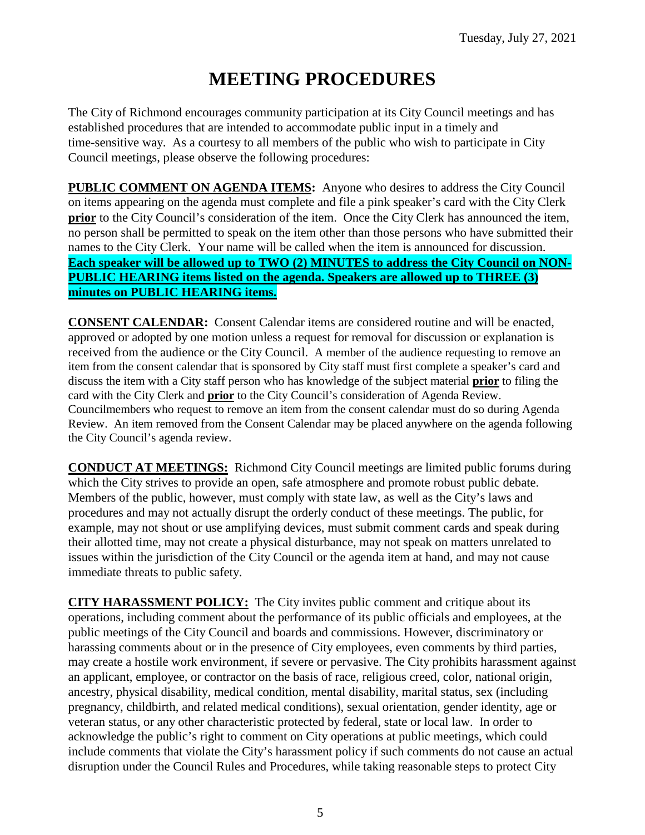# **MEETING PROCEDURES**

The City of Richmond encourages community participation at its City Council meetings and has established procedures that are intended to accommodate public input in a timely and time-sensitive way. As a courtesy to all members of the public who wish to participate in City Council meetings, please observe the following procedures:

**PUBLIC COMMENT ON AGENDA ITEMS:** Anyone who desires to address the City Council on items appearing on the agenda must complete and file a pink speaker's card with the City Clerk **prior** to the City Council's consideration of the item. Once the City Clerk has announced the item, no person shall be permitted to speak on the item other than those persons who have submitted their names to the City Clerk. Your name will be called when the item is announced for discussion. **Each speaker will be allowed up to TWO (2) MINUTES to address the City Council on NON-PUBLIC HEARING items listed on the agenda. Speakers are allowed up to THREE (3) minutes on PUBLIC HEARING items.**

**CONSENT CALENDAR:** Consent Calendar items are considered routine and will be enacted, approved or adopted by one motion unless a request for removal for discussion or explanation is received from the audience or the City Council. A member of the audience requesting to remove an item from the consent calendar that is sponsored by City staff must first complete a speaker's card and discuss the item with a City staff person who has knowledge of the subject material **prior** to filing the card with the City Clerk and **prior** to the City Council's consideration of Agenda Review. Councilmembers who request to remove an item from the consent calendar must do so during Agenda Review. An item removed from the Consent Calendar may be placed anywhere on the agenda following the City Council's agenda review.

**CONDUCT AT MEETINGS:** Richmond City Council meetings are limited public forums during which the City strives to provide an open, safe atmosphere and promote robust public debate. Members of the public, however, must comply with state law, as well as the City's laws and procedures and may not actually disrupt the orderly conduct of these meetings. The public, for example, may not shout or use amplifying devices, must submit comment cards and speak during their allotted time, may not create a physical disturbance, may not speak on matters unrelated to issues within the jurisdiction of the City Council or the agenda item at hand, and may not cause immediate threats to public safety.

**CITY HARASSMENT POLICY:** The City invites public comment and critique about its operations, including comment about the performance of its public officials and employees, at the public meetings of the City Council and boards and commissions. However, discriminatory or harassing comments about or in the presence of City employees, even comments by third parties, may create a hostile work environment, if severe or pervasive. The City prohibits harassment against an applicant, employee, or contractor on the basis of race, religious creed, color, national origin, ancestry, physical disability, medical condition, mental disability, marital status, sex (including pregnancy, childbirth, and related medical conditions), sexual orientation, gender identity, age or veteran status, or any other characteristic protected by federal, state or local law. In order to acknowledge the public's right to comment on City operations at public meetings, which could include comments that violate the City's harassment policy if such comments do not cause an actual disruption under the Council Rules and Procedures, while taking reasonable steps to protect City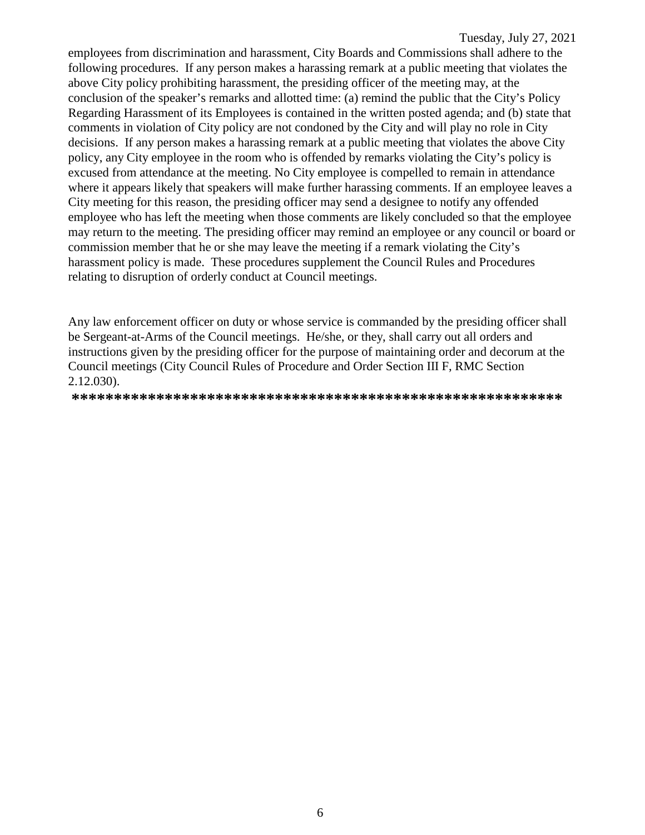employees from discrimination and harassment, City Boards and Commissions shall adhere to the following procedures. If any person makes a harassing remark at a public meeting that violates the above City policy prohibiting harassment, the presiding officer of the meeting may, at the conclusion of the speaker's remarks and allotted time: (a) remind the public that the City's Policy Regarding Harassment of its Employees is contained in the written posted agenda; and (b) state that comments in violation of City policy are not condoned by the City and will play no role in City decisions. If any person makes a harassing remark at a public meeting that violates the above City policy, any City employee in the room who is offended by remarks violating the City's policy is excused from attendance at the meeting. No City employee is compelled to remain in attendance where it appears likely that speakers will make further harassing comments. If an employee leaves a City meeting for this reason, the presiding officer may send a designee to notify any offended employee who has left the meeting when those comments are likely concluded so that the employee may return to the meeting. The presiding officer may remind an employee or any council or board or commission member that he or she may leave the meeting if a remark violating the City's harassment policy is made. These procedures supplement the Council Rules and Procedures relating to disruption of orderly conduct at Council meetings.

Any law enforcement officer on duty or whose service is commanded by the presiding officer shall be Sergeant-at-Arms of the Council meetings. He/she, or they, shall carry out all orders and instructions given by the presiding officer for the purpose of maintaining order and decorum at the Council meetings (City Council Rules of Procedure and Order Section III F, RMC Section 2.12.030).

**\*\*\*\*\*\*\*\*\*\*\*\*\*\*\*\*\*\*\*\*\*\*\*\*\*\*\*\*\*\*\*\*\*\*\*\*\*\*\*\*\*\*\*\*\*\*\*\*\*\*\*\*\*\*\*\*\*\***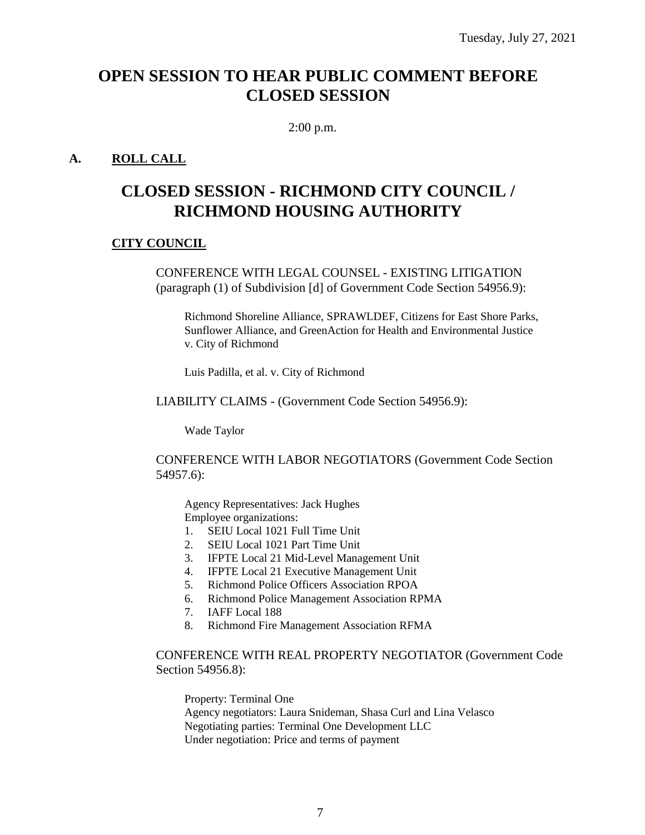## **OPEN SESSION TO HEAR PUBLIC COMMENT BEFORE CLOSED SESSION**

2:00 p.m.

#### **A. ROLL CALL**

## **CLOSED SESSION - RICHMOND CITY COUNCIL / RICHMOND HOUSING AUTHORITY**

#### **CITY COUNCIL**

CONFERENCE WITH LEGAL COUNSEL - EXISTING LITIGATION (paragraph (1) of Subdivision [d] of Government Code Section 54956.9):

Richmond Shoreline Alliance, SPRAWLDEF, Citizens for East Shore Parks, Sunflower Alliance, and GreenAction for Health and Environmental Justice v. City of Richmond

Luis Padilla, et al. v. City of Richmond

LIABILITY CLAIMS - (Government Code Section 54956.9):

Wade Taylor

CONFERENCE WITH LABOR NEGOTIATORS (Government Code Section 54957.6):

Agency Representatives: Jack Hughes Employee organizations:

- 1. SEIU Local 1021 Full Time Unit
- 2. SEIU Local 1021 Part Time Unit
- 3. IFPTE Local 21 Mid-Level Management Unit
- 4. IFPTE Local 21 Executive Management Unit
- 5. Richmond Police Officers Association RPOA
- 6. Richmond Police Management Association RPMA
- 7. IAFF Local 188
- 8. Richmond Fire Management Association RFMA

CONFERENCE WITH REAL PROPERTY NEGOTIATOR (Government Code Section 54956.8):

Property: Terminal One Agency negotiators: Laura Snideman, Shasa Curl and Lina Velasco Negotiating parties: Terminal One Development LLC Under negotiation: Price and terms of payment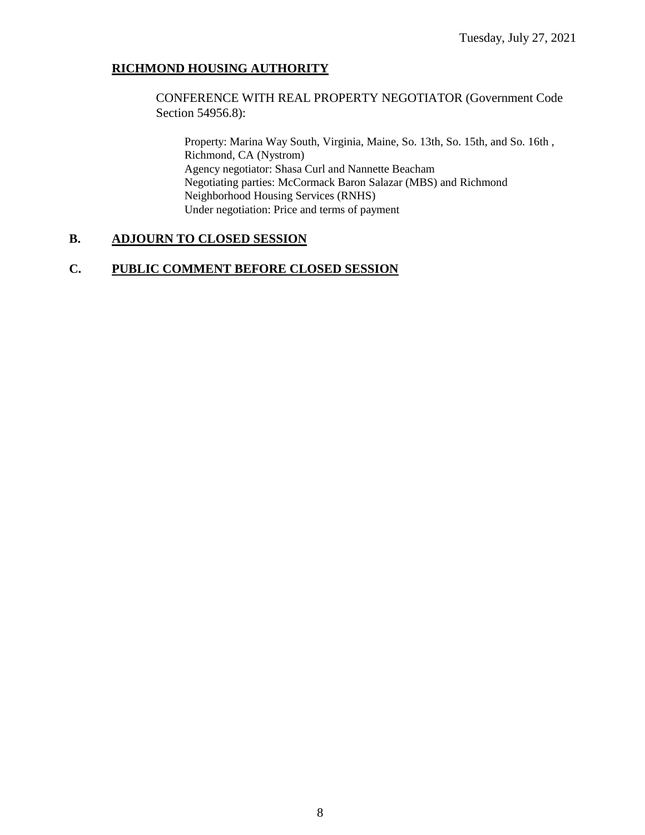#### **RICHMOND HOUSING AUTHORITY**

CONFERENCE WITH REAL PROPERTY NEGOTIATOR (Government Code Section 54956.8):

Property: Marina Way South, Virginia, Maine, So. 13th, So. 15th, and So. 16th , Richmond, CA (Nystrom) Agency negotiator: Shasa Curl and Nannette Beacham Negotiating parties: McCormack Baron Salazar (MBS) and Richmond Neighborhood Housing Services (RNHS) Under negotiation: Price and terms of payment

#### **B. ADJOURN TO CLOSED SESSION**

#### **C. PUBLIC COMMENT BEFORE CLOSED SESSION**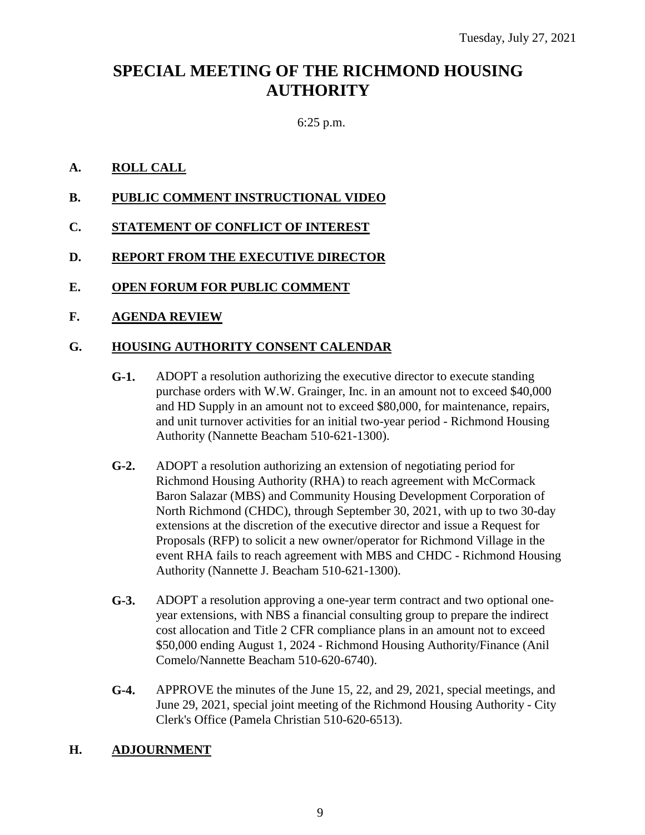## **SPECIAL MEETING OF THE RICHMOND HOUSING AUTHORITY**

#### 6:25 p.m.

#### **A. ROLL CALL**

- **B. PUBLIC COMMENT INSTRUCTIONAL VIDEO**
- **C. STATEMENT OF CONFLICT OF INTEREST**
- **D. REPORT FROM THE EXECUTIVE DIRECTOR**
- **E. OPEN FORUM FOR PUBLIC COMMENT**
- **F. AGENDA REVIEW**

#### **G. HOUSING AUTHORITY CONSENT CALENDAR**

- **G-1.** ADOPT a resolution authorizing the executive director to execute standing purchase orders with W.W. Grainger, Inc. in an amount not to exceed \$40,000 and HD Supply in an amount not to exceed \$80,000, for maintenance, repairs, and unit turnover activities for an initial two-year period - Richmond Housing Authority (Nannette Beacham 510-621-1300).
- **G-2.** ADOPT a resolution authorizing an extension of negotiating period for Richmond Housing Authority (RHA) to reach agreement with McCormack Baron Salazar (MBS) and Community Housing Development Corporation of North Richmond (CHDC), through September 30, 2021, with up to two 30-day extensions at the discretion of the executive director and issue a Request for Proposals (RFP) to solicit a new owner/operator for Richmond Village in the event RHA fails to reach agreement with MBS and CHDC - Richmond Housing Authority (Nannette J. Beacham 510-621-1300).
- **G-3.** ADOPT a resolution approving a one-year term contract and two optional oneyear extensions, with NBS a financial consulting group to prepare the indirect cost allocation and Title 2 CFR compliance plans in an amount not to exceed \$50,000 ending August 1, 2024 - Richmond Housing Authority/Finance (Anil Comelo/Nannette Beacham 510-620-6740).
- **G-4.** APPROVE the minutes of the June 15, 22, and 29, 2021, special meetings, and June 29, 2021, special joint meeting of the Richmond Housing Authority - City Clerk's Office (Pamela Christian 510-620-6513).

#### **H. ADJOURNMENT**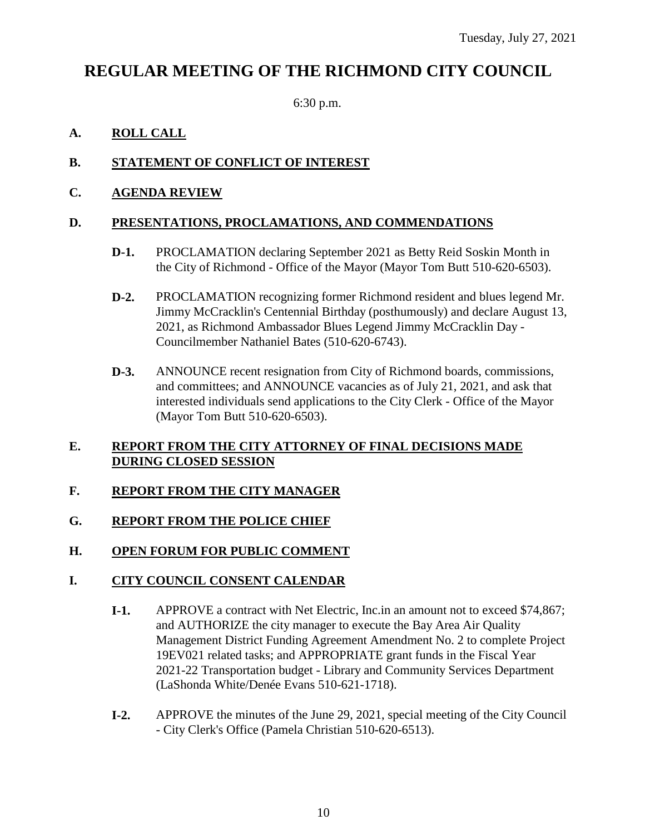## **REGULAR MEETING OF THE RICHMOND CITY COUNCIL**

6:30 p.m.

#### **A. ROLL CALL**

#### **B. STATEMENT OF CONFLICT OF INTEREST**

#### **C. AGENDA REVIEW**

#### **D. PRESENTATIONS, PROCLAMATIONS, AND COMMENDATIONS**

- **D-1.** PROCLAMATION declaring September 2021 as Betty Reid Soskin Month in the City of Richmond - Office of the Mayor (Mayor Tom Butt 510-620-6503).
- **D-2.** PROCLAMATION recognizing former Richmond resident and blues legend Mr. Jimmy McCracklin's Centennial Birthday (posthumously) and declare August 13, 2021, as Richmond Ambassador Blues Legend Jimmy McCracklin Day - Councilmember Nathaniel Bates (510-620-6743).
- **D-3.** ANNOUNCE recent resignation from City of Richmond boards, commissions, and committees; and ANNOUNCE vacancies as of July 21, 2021, and ask that interested individuals send applications to the City Clerk - Office of the Mayor (Mayor Tom Butt 510-620-6503).

#### **E. REPORT FROM THE CITY ATTORNEY OF FINAL DECISIONS MADE DURING CLOSED SESSION**

#### **F. REPORT FROM THE CITY MANAGER**

#### **G. REPORT FROM THE POLICE CHIEF**

#### **H. OPEN FORUM FOR PUBLIC COMMENT**

#### **I. CITY COUNCIL CONSENT CALENDAR**

- **I-1.** APPROVE a contract with Net Electric, Inc.in an amount not to exceed \$74,867; and AUTHORIZE the city manager to execute the Bay Area Air Quality Management District Funding Agreement Amendment No. 2 to complete Project 19EV021 related tasks; and APPROPRIATE grant funds in the Fiscal Year 2021-22 Transportation budget - Library and Community Services Department (LaShonda White/Denée Evans 510-621-1718).
- **I-2.** APPROVE the minutes of the June 29, 2021, special meeting of the City Council - City Clerk's Office (Pamela Christian 510-620-6513).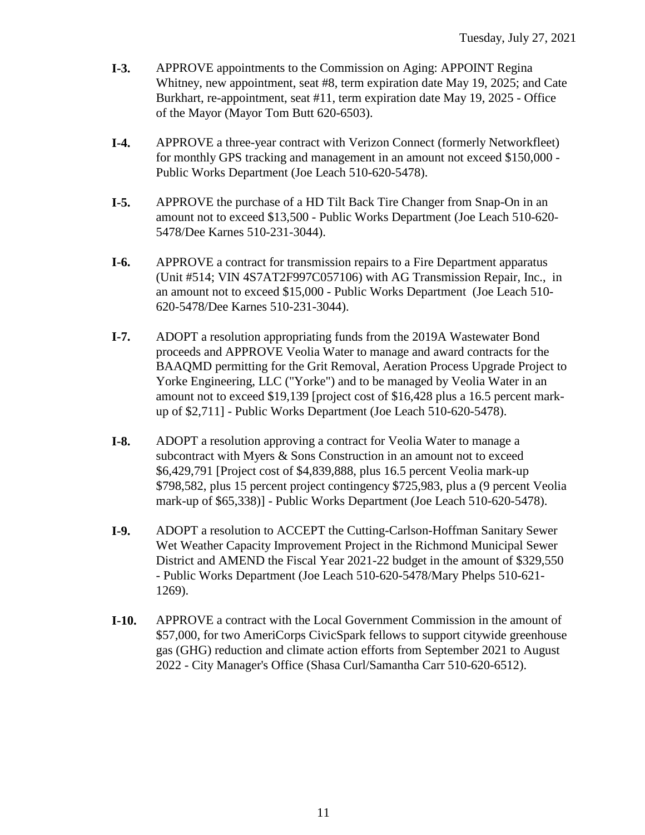- **I-3.** APPROVE appointments to the Commission on Aging: APPOINT Regina Whitney, new appointment, seat #8, term expiration date May 19, 2025; and Cate Burkhart, re-appointment, seat #11, term expiration date May 19, 2025 - Office of the Mayor (Mayor Tom Butt 620-6503).
- **I-4.** APPROVE a three-year contract with Verizon Connect (formerly Networkfleet) for monthly GPS tracking and management in an amount not exceed \$150,000 - Public Works Department (Joe Leach 510-620-5478).
- **I-5.** APPROVE the purchase of a HD Tilt Back Tire Changer from Snap-On in an amount not to exceed \$13,500 - Public Works Department (Joe Leach 510-620- 5478/Dee Karnes 510-231-3044).
- **I-6.** APPROVE a contract for transmission repairs to a Fire Department apparatus (Unit #514; VIN 4S7AT2F997C057106) with AG Transmission Repair, Inc., in an amount not to exceed \$15,000 - Public Works Department (Joe Leach 510- 620-5478/Dee Karnes 510-231-3044).
- **I-7.** ADOPT a resolution appropriating funds from the 2019A Wastewater Bond proceeds and APPROVE Veolia Water to manage and award contracts for the BAAQMD permitting for the Grit Removal, Aeration Process Upgrade Project to Yorke Engineering, LLC ("Yorke") and to be managed by Veolia Water in an amount not to exceed \$19,139 [project cost of \$16,428 plus a 16.5 percent markup of \$2,711] - Public Works Department (Joe Leach 510-620-5478).
- **I-8.** ADOPT a resolution approving a contract for Veolia Water to manage a subcontract with Myers & Sons Construction in an amount not to exceed \$6,429,791 [Project cost of \$4,839,888, plus 16.5 percent Veolia mark-up \$798,582, plus 15 percent project contingency \$725,983, plus a (9 percent Veolia mark-up of \$65,338)] - Public Works Department (Joe Leach 510-620-5478).
- **I-9.** ADOPT a resolution to ACCEPT the Cutting-Carlson-Hoffman Sanitary Sewer Wet Weather Capacity Improvement Project in the Richmond Municipal Sewer District and AMEND the Fiscal Year 2021-22 budget in the amount of \$329,550 - Public Works Department (Joe Leach 510-620-5478/Mary Phelps 510-621- 1269).
- **I-10.** APPROVE a contract with the Local Government Commission in the amount of \$57,000, for two AmeriCorps CivicSpark fellows to support citywide greenhouse gas (GHG) reduction and climate action efforts from September 2021 to August 2022 - City Manager's Office (Shasa Curl/Samantha Carr 510-620-6512).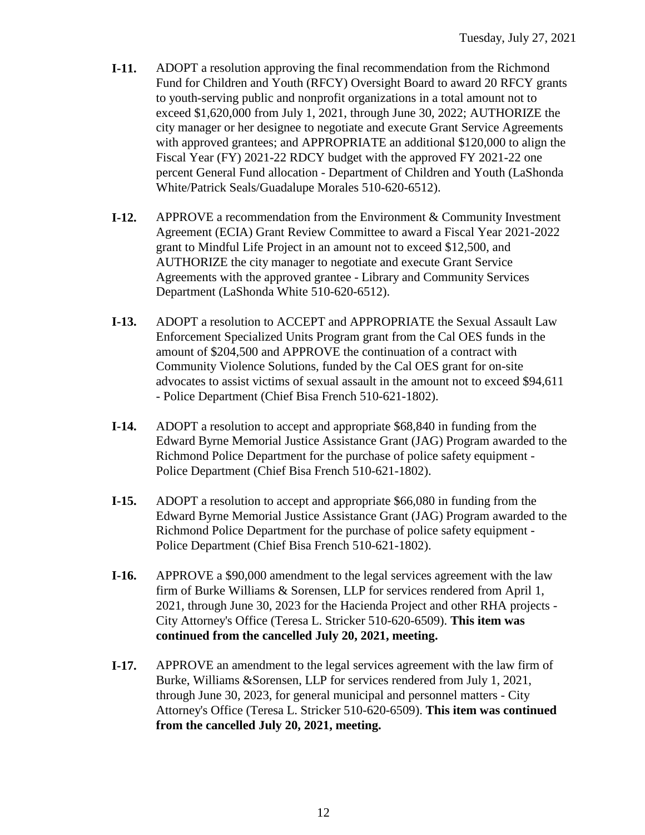- **I-11.** ADOPT a resolution approving the final recommendation from the Richmond Fund for Children and Youth (RFCY) Oversight Board to award 20 RFCY grants to youth-serving public and nonprofit organizations in a total amount not to exceed \$1,620,000 from July 1, 2021, through June 30, 2022; AUTHORIZE the city manager or her designee to negotiate and execute Grant Service Agreements with approved grantees; and APPROPRIATE an additional \$120,000 to align the Fiscal Year (FY) 2021-22 RDCY budget with the approved FY 2021-22 one percent General Fund allocation - Department of Children and Youth (LaShonda White/Patrick Seals/Guadalupe Morales 510-620-6512).
- **I-12.** APPROVE a recommendation from the Environment & Community Investment Agreement (ECIA) Grant Review Committee to award a Fiscal Year 2021-2022 grant to Mindful Life Project in an amount not to exceed \$12,500, and AUTHORIZE the city manager to negotiate and execute Grant Service Agreements with the approved grantee - Library and Community Services Department (LaShonda White 510-620-6512).
- **I-13.** ADOPT a resolution to ACCEPT and APPROPRIATE the Sexual Assault Law Enforcement Specialized Units Program grant from the Cal OES funds in the amount of \$204,500 and APPROVE the continuation of a contract with Community Violence Solutions, funded by the Cal OES grant for on-site advocates to assist victims of sexual assault in the amount not to exceed \$94,611 - Police Department (Chief Bisa French 510-621-1802).
- **I-14.** ADOPT a resolution to accept and appropriate \$68,840 in funding from the Edward Byrne Memorial Justice Assistance Grant (JAG) Program awarded to the Richmond Police Department for the purchase of police safety equipment - Police Department (Chief Bisa French 510-621-1802).
- **I-15.** ADOPT a resolution to accept and appropriate \$66,080 in funding from the Edward Byrne Memorial Justice Assistance Grant (JAG) Program awarded to the Richmond Police Department for the purchase of police safety equipment - Police Department (Chief Bisa French 510-621-1802).
- **I-16.** APPROVE a \$90,000 amendment to the legal services agreement with the law firm of Burke Williams & Sorensen, LLP for services rendered from April 1, 2021, through June 30, 2023 for the Hacienda Project and other RHA projects - City Attorney's Office (Teresa L. Stricker 510-620-6509). **This item was continued from the cancelled July 20, 2021, meeting.**
- **I-17.** APPROVE an amendment to the legal services agreement with the law firm of Burke, Williams &Sorensen, LLP for services rendered from July 1, 2021, through June 30, 2023, for general municipal and personnel matters - City Attorney's Office (Teresa L. Stricker 510-620-6509). **This item was continued from the cancelled July 20, 2021, meeting.**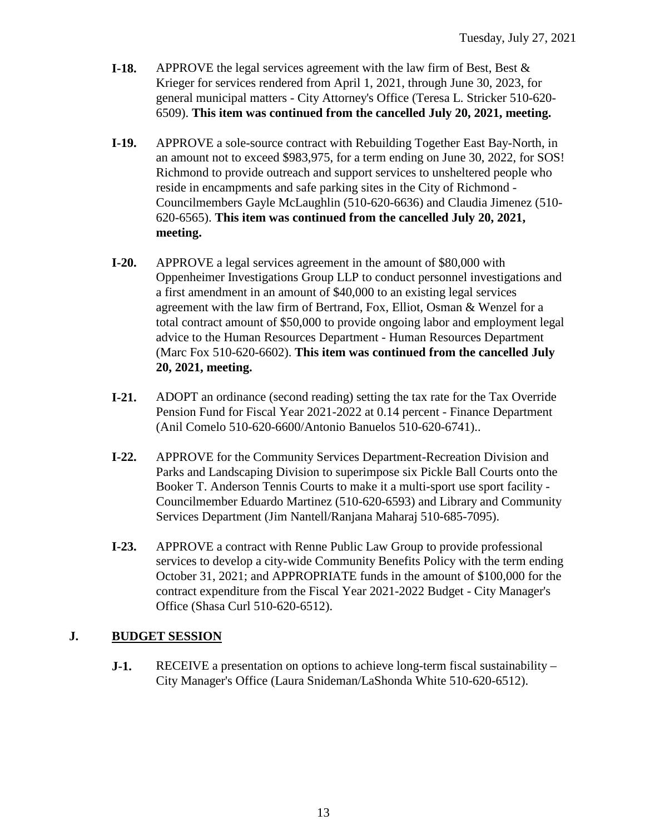- **I-18.** APPROVE the legal services agreement with the law firm of Best, Best & Krieger for services rendered from April 1, 2021, through June 30, 2023, for general municipal matters - City Attorney's Office (Teresa L. Stricker 510-620- 6509). **This item was continued from the cancelled July 20, 2021, meeting.**
- **I-19.** APPROVE a sole-source contract with Rebuilding Together East Bay-North, in an amount not to exceed \$983,975, for a term ending on June 30, 2022, for SOS! Richmond to provide outreach and support services to unsheltered people who reside in encampments and safe parking sites in the City of Richmond - Councilmembers Gayle McLaughlin (510-620-6636) and Claudia Jimenez (510- 620-6565). **This item was continued from the cancelled July 20, 2021, meeting.**
- **I-20.** APPROVE a legal services agreement in the amount of \$80,000 with Oppenheimer Investigations Group LLP to conduct personnel investigations and a first amendment in an amount of \$40,000 to an existing legal services agreement with the law firm of Bertrand, Fox, Elliot, Osman & Wenzel for a total contract amount of \$50,000 to provide ongoing labor and employment legal advice to the Human Resources Department - Human Resources Department (Marc Fox 510-620-6602). **This item was continued from the cancelled July 20, 2021, meeting.**
- **I-21.** ADOPT an ordinance (second reading) setting the tax rate for the Tax Override Pension Fund for Fiscal Year 2021-2022 at 0.14 percent - Finance Department (Anil Comelo 510-620-6600/Antonio Banuelos 510-620-6741)..
- **I-22.** APPROVE for the Community Services Department-Recreation Division and Parks and Landscaping Division to superimpose six Pickle Ball Courts onto the Booker T. Anderson Tennis Courts to make it a multi-sport use sport facility - Councilmember Eduardo Martinez (510-620-6593) and Library and Community Services Department (Jim Nantell/Ranjana Maharaj 510-685-7095).
- **I-23.** APPROVE a contract with Renne Public Law Group to provide professional services to develop a city-wide Community Benefits Policy with the term ending October 31, 2021; and APPROPRIATE funds in the amount of \$100,000 for the contract expenditure from the Fiscal Year 2021-2022 Budget - City Manager's Office (Shasa Curl 510-620-6512).

#### **J. BUDGET SESSION**

**J-1.** RECEIVE a presentation on options to achieve long-term fiscal sustainability – City Manager's Office (Laura Snideman/LaShonda White 510-620-6512).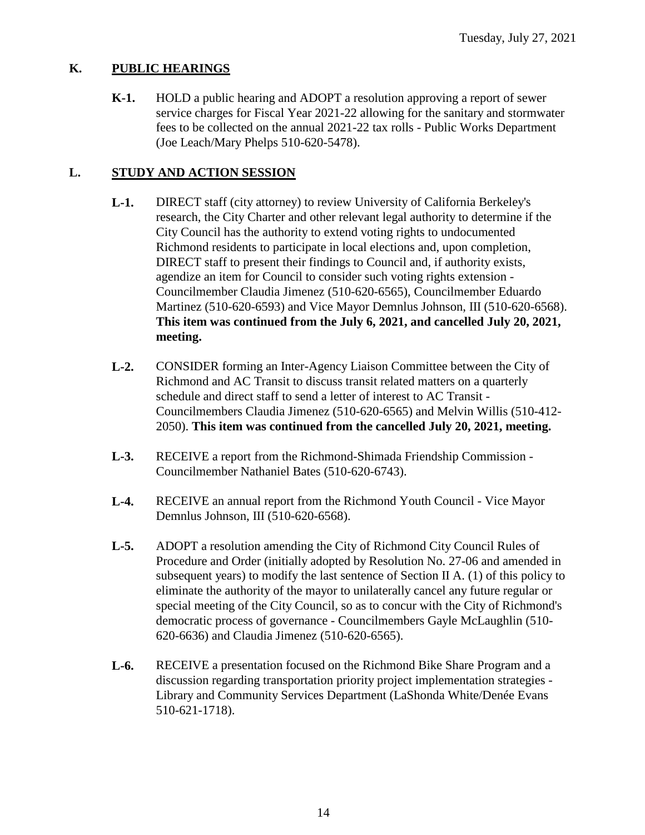#### **K. PUBLIC HEARINGS**

**K-1.** HOLD a public hearing and ADOPT a resolution approving a report of sewer service charges for Fiscal Year 2021-22 allowing for the sanitary and stormwater fees to be collected on the annual 2021-22 tax rolls - Public Works Department (Joe Leach/Mary Phelps 510-620-5478).

#### **L. STUDY AND ACTION SESSION**

- **L-1.** DIRECT staff (city attorney) to review University of California Berkeley's research, the City Charter and other relevant legal authority to determine if the City Council has the authority to extend voting rights to undocumented Richmond residents to participate in local elections and, upon completion, DIRECT staff to present their findings to Council and, if authority exists, agendize an item for Council to consider such voting rights extension - Councilmember Claudia Jimenez (510-620-6565), Councilmember Eduardo Martinez (510-620-6593) and Vice Mayor Demnlus Johnson, III (510-620-6568). **This item was continued from the July 6, 2021, and cancelled July 20, 2021, meeting.**
- **L-2.** CONSIDER forming an Inter-Agency Liaison Committee between the City of Richmond and AC Transit to discuss transit related matters on a quarterly schedule and direct staff to send a letter of interest to AC Transit - Councilmembers Claudia Jimenez (510-620-6565) and Melvin Willis (510-412- 2050). **This item was continued from the cancelled July 20, 2021, meeting.**
- **L-3.** RECEIVE a report from the Richmond-Shimada Friendship Commission Councilmember Nathaniel Bates (510-620-6743).
- **L-4.** RECEIVE an annual report from the Richmond Youth Council Vice Mayor Demnlus Johnson, III (510-620-6568).
- **L-5.** ADOPT a resolution amending the City of Richmond City Council Rules of Procedure and Order (initially adopted by Resolution No. 27-06 and amended in subsequent years) to modify the last sentence of Section II A. (1) of this policy to eliminate the authority of the mayor to unilaterally cancel any future regular or special meeting of the City Council, so as to concur with the City of Richmond's democratic process of governance - Councilmembers Gayle McLaughlin (510- 620-6636) and Claudia Jimenez (510-620-6565).
- **L-6.** RECEIVE a presentation focused on the Richmond Bike Share Program and a discussion regarding transportation priority project implementation strategies - Library and Community Services Department (LaShonda White/Denée Evans 510-621-1718).